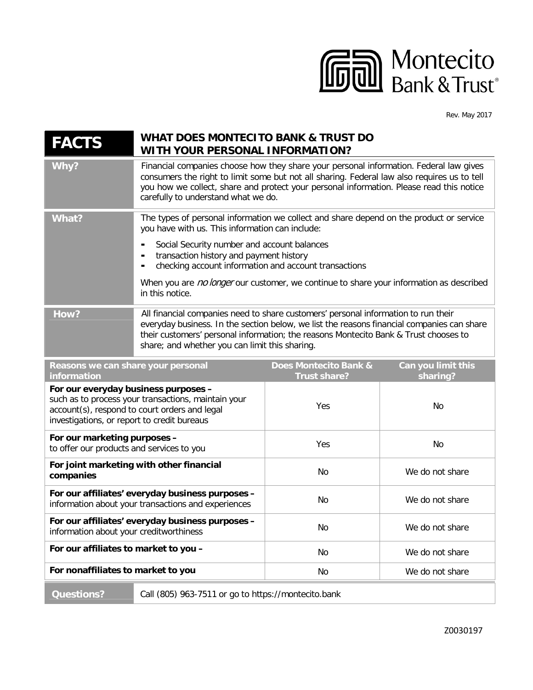

Rev. May 2017

| <b>FACTS</b>                                                                                                                                                                                | <b>WHAT DOES MONTECITO BANK &amp; TRUST DO</b><br>WITH YOUR PERSONAL INFORMATION?                                                                                                                                                                                                                                                                                                                           |                                              |                                |
|---------------------------------------------------------------------------------------------------------------------------------------------------------------------------------------------|-------------------------------------------------------------------------------------------------------------------------------------------------------------------------------------------------------------------------------------------------------------------------------------------------------------------------------------------------------------------------------------------------------------|----------------------------------------------|--------------------------------|
| Why?                                                                                                                                                                                        | Financial companies choose how they share your personal information. Federal law gives<br>consumers the right to limit some but not all sharing. Federal law also requires us to tell<br>you how we collect, share and protect your personal information. Please read this notice<br>carefully to understand what we do.                                                                                    |                                              |                                |
| <b>What?</b>                                                                                                                                                                                | The types of personal information we collect and share depend on the product or service<br>you have with us. This information can include:<br>Social Security number and account balances<br>transaction history and payment history<br>checking account information and account transactions<br>When you are no longer our customer, we continue to share your information as described<br>in this notice. |                                              |                                |
| How?                                                                                                                                                                                        | All financial companies need to share customers' personal information to run their<br>everyday business. In the section below, we list the reasons financial companies can share<br>their customers' personal information; the reasons Montecito Bank & Trust chooses to<br>share; and whether you can limit this sharing.                                                                                  |                                              |                                |
| Reasons we can share your personal<br>information                                                                                                                                           |                                                                                                                                                                                                                                                                                                                                                                                                             | Does Montecito Bank &<br><b>Trust share?</b> | Can you limit this<br>sharing? |
| For our everyday business purposes -<br>such as to process your transactions, maintain your<br>account(s), respond to court orders and legal<br>investigations, or report to credit bureaus |                                                                                                                                                                                                                                                                                                                                                                                                             | Yes                                          | No                             |
| For our marketing purposes -<br>to offer our products and services to you                                                                                                                   |                                                                                                                                                                                                                                                                                                                                                                                                             | Yes                                          | No                             |
| For joint marketing with other financial<br>companies                                                                                                                                       |                                                                                                                                                                                                                                                                                                                                                                                                             | No                                           | We do not share                |
| For our affiliates' everyday business purposes -<br>information about your transactions and experiences                                                                                     |                                                                                                                                                                                                                                                                                                                                                                                                             | No                                           | We do not share                |
| For our affiliates' everyday business purposes -<br>information about your creditworthiness                                                                                                 |                                                                                                                                                                                                                                                                                                                                                                                                             | No                                           | We do not share                |
| For our affiliates to market to you -                                                                                                                                                       |                                                                                                                                                                                                                                                                                                                                                                                                             | No                                           | We do not share                |
| For nonaffiliates to market to you                                                                                                                                                          |                                                                                                                                                                                                                                                                                                                                                                                                             | No                                           | We do not share                |
| <b>Questions?</b>                                                                                                                                                                           | Call (805) 963-7511 or go to https://montecito.bank                                                                                                                                                                                                                                                                                                                                                         |                                              |                                |